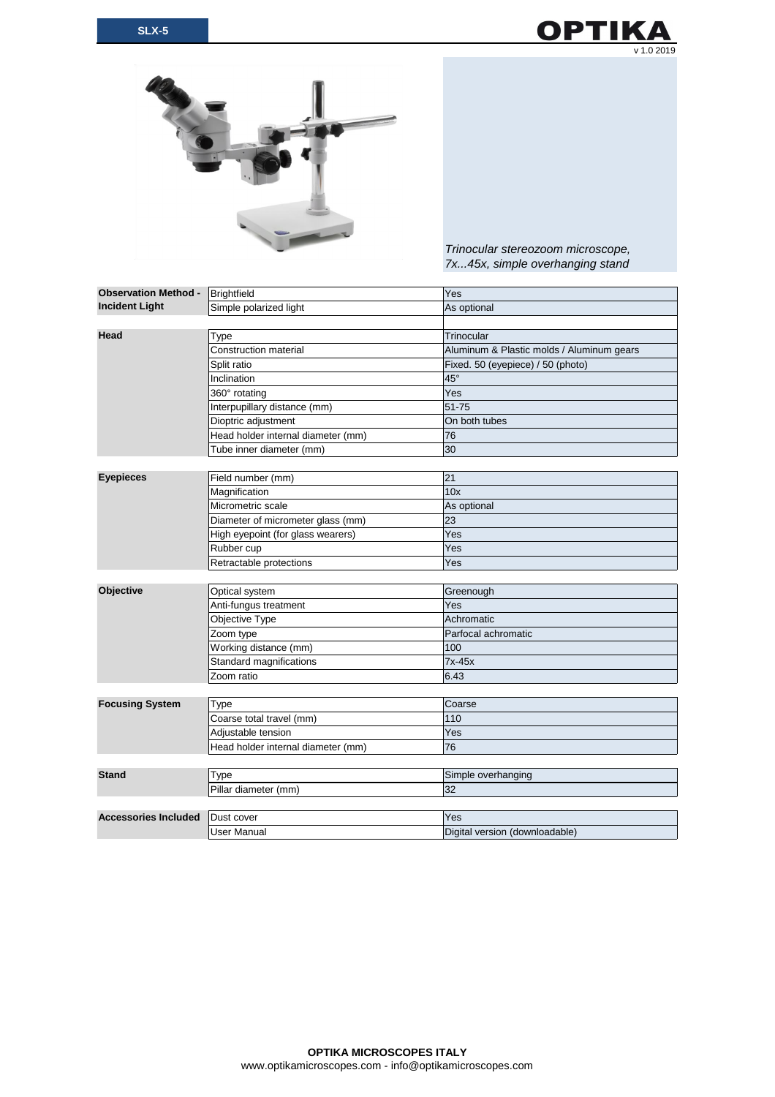



*Trinocular stereozoom microscope, 7x...45x, simple overhanging stand*

| <b>Observation Method -</b><br><b>Incident Light</b> | Brightfield                        | Yes                                       |
|------------------------------------------------------|------------------------------------|-------------------------------------------|
|                                                      | Simple polarized light             | As optional                               |
|                                                      |                                    |                                           |
| Head                                                 | Type                               | Trinocular                                |
|                                                      | <b>Construction material</b>       | Aluminum & Plastic molds / Aluminum gears |
|                                                      | Split ratio                        | Fixed. 50 (eyepiece) / 50 (photo)         |
|                                                      | Inclination                        | $45^{\circ}$                              |
|                                                      | 360° rotating                      | Yes                                       |
|                                                      | Interpupillary distance (mm)       | 51-75                                     |
|                                                      | Dioptric adjustment                | On both tubes                             |
|                                                      | Head holder internal diameter (mm) | 76                                        |
|                                                      | Tube inner diameter (mm)           | 30                                        |
|                                                      |                                    |                                           |
| <b>Eyepieces</b>                                     | Field number (mm)                  | 21                                        |
|                                                      | Magnification                      | 10x                                       |
|                                                      | Micrometric scale                  | As optional                               |
|                                                      | Diameter of micrometer glass (mm)  | 23                                        |
|                                                      | High eyepoint (for glass wearers)  | Yes                                       |
|                                                      | Rubber cup                         | Yes                                       |
|                                                      | Retractable protections            | Yes                                       |
|                                                      |                                    |                                           |
| <b>Objective</b>                                     | Optical system                     | Greenough                                 |
|                                                      | Anti-fungus treatment              | Yes                                       |
|                                                      | Objective Type                     | Achromatic                                |
|                                                      | Zoom type                          | Parfocal achromatic                       |
|                                                      | Working distance (mm)              | 100                                       |
|                                                      | Standard magnifications            | 7x-45x                                    |
|                                                      | Zoom ratio                         | 6.43                                      |
|                                                      |                                    |                                           |
| <b>Focusing System</b>                               | Type                               | Coarse                                    |
|                                                      | Coarse total travel (mm)           | 110                                       |
|                                                      | Adjustable tension                 | Yes                                       |
|                                                      | Head holder internal diameter (mm) | 76                                        |
|                                                      |                                    |                                           |
| <b>Stand</b>                                         | Type                               | Simple overhanging                        |
|                                                      | Pillar diameter (mm)               | 32                                        |
|                                                      |                                    |                                           |
| <b>Accessories Included</b>                          | Dust cover                         | Yes                                       |
|                                                      | <b>User Manual</b>                 | Digital version (downloadable)            |